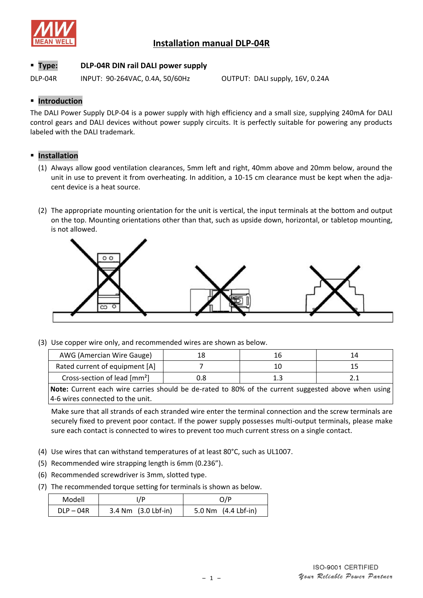

## **Installation manual DLP-04R**

## **Type: DLP-04R DIN rail DALI power supply**

DLP-04R INPUT: 90-264VAC, 0.4A, 50/60Hz OUTPUT: DALI supply, 16V, 0.24A

## **F** Introduction

The DALI Power Supply DLP-04 is a power supply with high efficiency and a small size, supplying 240mA for DALI control gears and DALI devices without power supply circuits. It is perfectly suitable for powering any products labeled with the DALI trademark.

## **Installation**

- (1) Always allow good ventilation clearances, 5mm left and right, 40mm above and 20mm below, around the unit in use to prevent it from overheating. In addition, a 10-15 cm clearance must be kept when the adjacent device is a heat source.
- (2) The appropriate mounting orientation for the unit is vertical, the input terminals at the bottom and output on the top. Mounting orientations other than that, such as upside down, horizontal, or tabletop mounting, is not allowed.



(3) Use copper wire only, and recommended wires are shown as below.

| AWG (Amercian Wire Gauge)                |    |  |
|------------------------------------------|----|--|
| Rated current of equipment [A]           |    |  |
| Cross-section of lead [mm <sup>2</sup> ] | ∸⊷ |  |

**Note:** Current each wire carries should be de-rated to 80% of the current suggested above when using 4-6 wires connected to the unit.

Make sure that all strands of each stranded wire enter the terminal connection and the screw terminals are securely fixed to prevent poor contact. If the power supply possesses multi-output terminals, please make sure each contact is connected to wires to prevent too much current stress on a single contact.

- (4) Use wires that can withstand temperatures of at least 80°C, such as UL1007.
- (5) Recommended wire strapping length is 6mm (0.236").
- (6) Recommended screwdriver is 3mm, slotted type.
- (7) The recommended torque setting for terminals is shown as below.

| Modell      | /P                      | O/P                           |
|-------------|-------------------------|-------------------------------|
| $DLP - 04R$ | $3.4$ Nm $(3.0$ Lbf-in) | 5.0 Nm $(4.4 \text{ Lbf-in})$ |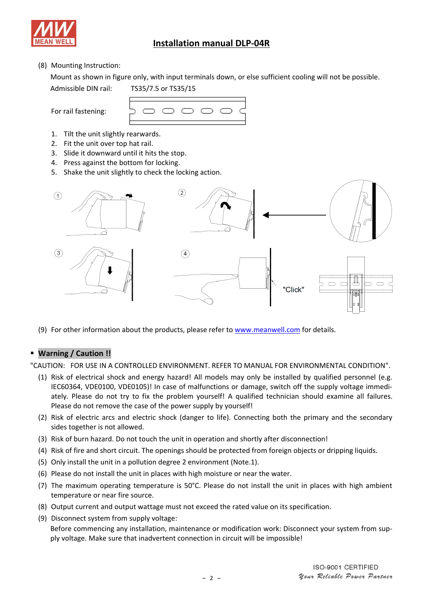

# **Installation manual DLP-04R**

## (8) Mounting Instruction:

Mount as shown in figure only, with input terminals down, or else sufficient cooling will not be possible.

Admissible DIN rail: TS35/7.5 or TS35/15

For rail fastening:



- 1. Tilt the unit slightly rearwards.
- 2. Fit the unit over top hat rail.
- 3. Slide it downward until it hits the stop.
- 4. Press against the bottom for locking.
- 5. Shake the unit slightly to check the locking action.



(9) For other information about the products, please refer to [www.meanwell.com](http://www.meanwell.com/) for details.

## **Warning / Caution !!**

"CAUTION: FOR USE IN A CONTROLLED ENVIRONMENT. REFER TO MANUAL FOR ENVIRONMENTAL CONDITION".

- (1) Risk of electrical shock and energy hazard! All models may only be installed by qualified personnel (e.g. IEC60364, VDE0100, VDE0105)! In case of malfunctions or damage, switch off the supply voltage immediately. Please do not try to fix the problem yourself! A qualified technician should examine all failures. Please do not remove the case of the power supply by yourself!
- (2) Risk of electric arcs and electric shock (danger to life). Connecting both the primary and the secondary sides together is not allowed.
- (3) Risk of burn hazard. Do not touch the unit in operation and shortly after disconnection!
- (4) Risk of fire and short circuit. The openings should be protected from foreign objects or dripping liquids.
- (5) Only install the unit in a pollution degree 2 environment (Note.1).
- (6) Please do not install the unit in places with high moisture or near the water.
- (7) The maximum operating temperature is 50°C. Please do not install the unit in places with high ambient temperature or near fire source.
- (8) Output current and output wattage must not exceed the rated value on its specification.
- (9) Disconnect system from supply voltage:

Before commencing any installation, maintenance or modification work: Disconnect your system from supply voltage. Make sure that inadvertent connection in circuit will be impossible!